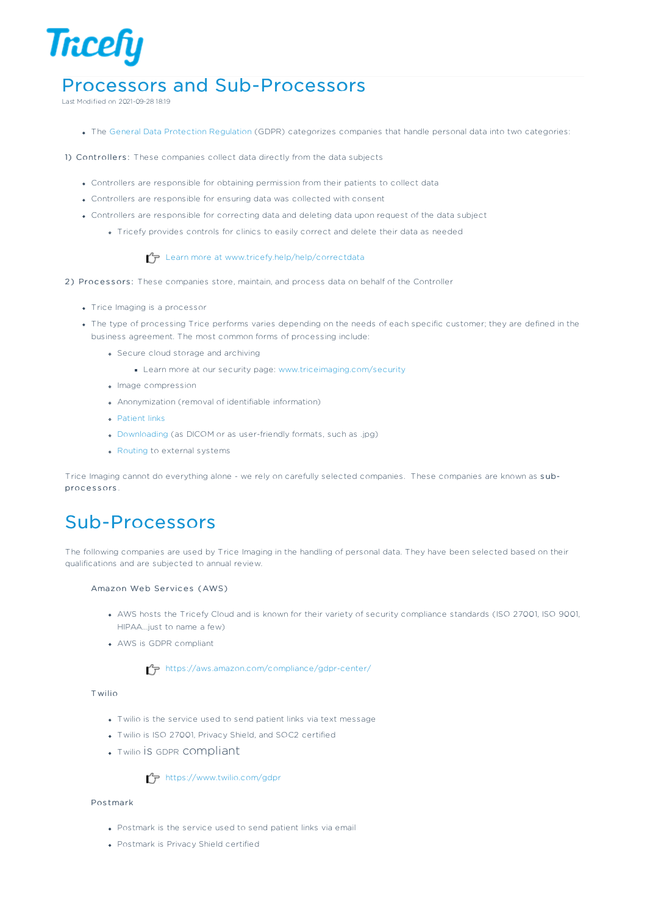

# Processors and Sub-Processors

Last Modified on 2021-09-28 18:19

- The General Data Protection Regulation (GDPR) categorizes companies that handle personal data into two categories:
- 1) Controllers: These companies collect data directly from the data subjects
	- Controllers are responsible for obtaining permission from their patients to collect data
	- Controllers are responsible for ensuring data was collected with consent
	- Controllers are responsible for correcting data and deleting data upon request of the data subject
		- Tricefy provides controls for clinics to easily correct and delete their data as needed

## Learn more at www.tricefy.help/help/correctdata

- 2) Processors: These companies store, maintain, and process data on behalf of the Controller
	- Trice Imaging is a processor
	- The type of processing Trice performs varies depending on the needs of each specific customer; they are defined in the business agreement. The most common forms of processing include:
		- Secure cloud storage and archiving
			- Learn more at our security page: www.triceimaging.com/security
		- **.** Image compression
		- Anonymization (removal of identifiable information)
		- **Patient links**
		- Downloading (as DICOM or as user-friendly formats, such as .jpg)
		- Routing to external systems

Trice Imaging cannot do everything alone - we rely on carefully selected companies. These companies are known as s ubprocessors.

# Sub-Processors

The following companies are used by Trice Imaging in the handling of personal data. They have been selected based on their qualifications and are subjected to annual review.

#### Amazon Web Services (AWS)

- AWS hosts the Tricefy Cloud and is known for their variety of security compliance standards (ISO 27001, ISO 9001, HIPAA...just to name a few)
- AWS is GDPR compliant

https://aws.amazon.com/compliance/gdpr-center/

#### T wilio

- Twilio is the service used to send patient links via text message
- Twilio is ISO 27001, Privacy Shield, and SOC2 certified
- Twilio is GDPR compliant

#### $\mathcal{T}_{\overline{P}}$  https://www.twilio.com/gdpr

#### Pos tmark

- Postmark is the service used to send patient links via email
- Postmark is Privacy Shield certified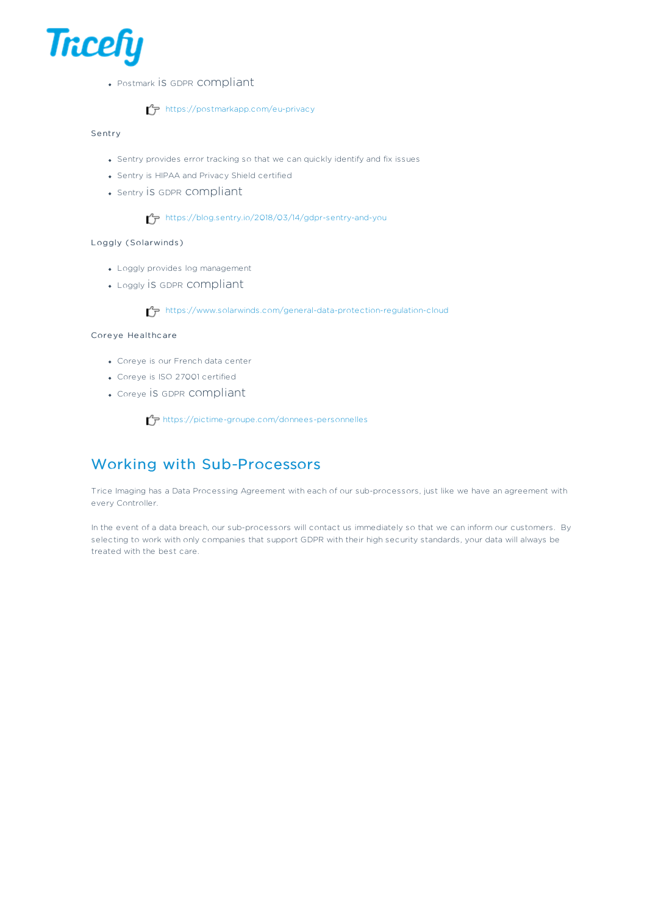

Postmark is GDPR compliant

## $T$  https://postmarkapp.com/eu-privacy

#### Se ntry

- Sentry provides error tracking so that we can quickly identify and fix issues
- Sentry is HIPAA and Privacy Shield certified
- Sentry is GDPR compliant

#### https://blog.sentry.io/2018/03/14/gdpr-sentry-and-you

### Loggly (Solarwinds )

- Loggly provides log management
- Loggly is GDPR compliant

https://www.solarwinds.com/general-data-protection-regulation-cloud

#### Core ye He althc are

- Coreye is our French data center
- Coreye is ISO 27001 certified
- Coreye is GDPR compliant

https://pictime-groupe.com/donnees-personnelles

# Working with Sub-Processors

Trice Imaging has a Data Processing Agreement with each of our sub-processors, just like we have an agreement with every Controller.

In the event of a data breach, our sub-processors will contact us immediately so that we can inform our customers. By selecting to work with only companies that support GDPR with their high security standards, your data will always be treated with the best care.